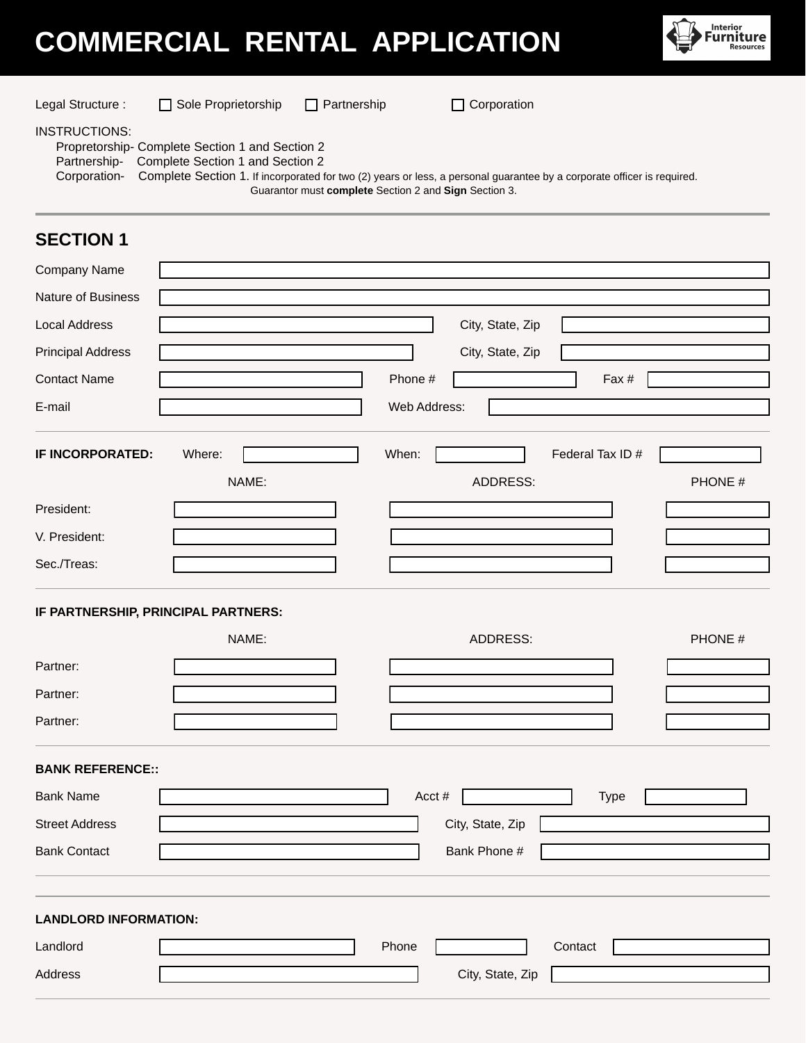## **COMMERCIAL RENTAL APPLICATION**



| Legal Structure :                                                                                                                                                                                                                                                                                                               | Sole Proprietorship                          | $\Box$ Partnership | $\Box$ Corporation                  |                          |  |  |
|---------------------------------------------------------------------------------------------------------------------------------------------------------------------------------------------------------------------------------------------------------------------------------------------------------------------------------|----------------------------------------------|--------------------|-------------------------------------|--------------------------|--|--|
| <b>INSTRUCTIONS:</b><br>Propretorship- Complete Section 1 and Section 2<br>Partnership-<br>Complete Section 1 and Section 2<br>Corporation-<br>Complete Section 1. If incorporated for two (2) years or less, a personal guarantee by a corporate officer is required.<br>Guarantor must complete Section 2 and Sign Section 3. |                                              |                    |                                     |                          |  |  |
| <b>SECTION 1</b>                                                                                                                                                                                                                                                                                                                |                                              |                    |                                     |                          |  |  |
| Company Name                                                                                                                                                                                                                                                                                                                    |                                              |                    |                                     |                          |  |  |
| <b>Nature of Business</b>                                                                                                                                                                                                                                                                                                       |                                              |                    |                                     |                          |  |  |
| <b>Local Address</b>                                                                                                                                                                                                                                                                                                            |                                              |                    | City, State, Zip                    |                          |  |  |
| <b>Principal Address</b>                                                                                                                                                                                                                                                                                                        |                                              |                    | City, State, Zip                    |                          |  |  |
| <b>Contact Name</b>                                                                                                                                                                                                                                                                                                             |                                              |                    | Phone #<br>Fax #                    |                          |  |  |
| E-mail                                                                                                                                                                                                                                                                                                                          |                                              |                    | Web Address:                        |                          |  |  |
| IF INCORPORATED:                                                                                                                                                                                                                                                                                                                | Where:<br>NAME:                              | When:              | Federal Tax ID #<br><b>ADDRESS:</b> | PHONE #                  |  |  |
| President:                                                                                                                                                                                                                                                                                                                      |                                              |                    |                                     |                          |  |  |
| V. President:                                                                                                                                                                                                                                                                                                                   |                                              |                    |                                     |                          |  |  |
| Sec./Treas:                                                                                                                                                                                                                                                                                                                     |                                              |                    |                                     |                          |  |  |
|                                                                                                                                                                                                                                                                                                                                 | IF PARTNERSHIP, PRINCIPAL PARTNERS:<br>NAME: |                    | <b>ADDRESS:</b>                     | PHONE #                  |  |  |
| Partner:                                                                                                                                                                                                                                                                                                                        |                                              |                    |                                     |                          |  |  |
| Partner:                                                                                                                                                                                                                                                                                                                        |                                              |                    |                                     |                          |  |  |
| Partner:                                                                                                                                                                                                                                                                                                                        |                                              |                    |                                     |                          |  |  |
| <b>BANK REFERENCE::</b>                                                                                                                                                                                                                                                                                                         |                                              |                    |                                     |                          |  |  |
| <b>Bank Name</b>                                                                                                                                                                                                                                                                                                                |                                              |                    | Acct#<br><b>Type</b>                | $\vert \mathbf{v} \vert$ |  |  |
| <b>Street Address</b>                                                                                                                                                                                                                                                                                                           |                                              |                    | City, State, Zip                    |                          |  |  |
| <b>Bank Contact</b>                                                                                                                                                                                                                                                                                                             |                                              |                    | Bank Phone #                        |                          |  |  |
| <b>LANDLORD INFORMATION:</b>                                                                                                                                                                                                                                                                                                    |                                              |                    |                                     |                          |  |  |
| Landlord                                                                                                                                                                                                                                                                                                                        |                                              | Phone              | Contact                             |                          |  |  |
| Address                                                                                                                                                                                                                                                                                                                         |                                              |                    | City, State, Zip                    |                          |  |  |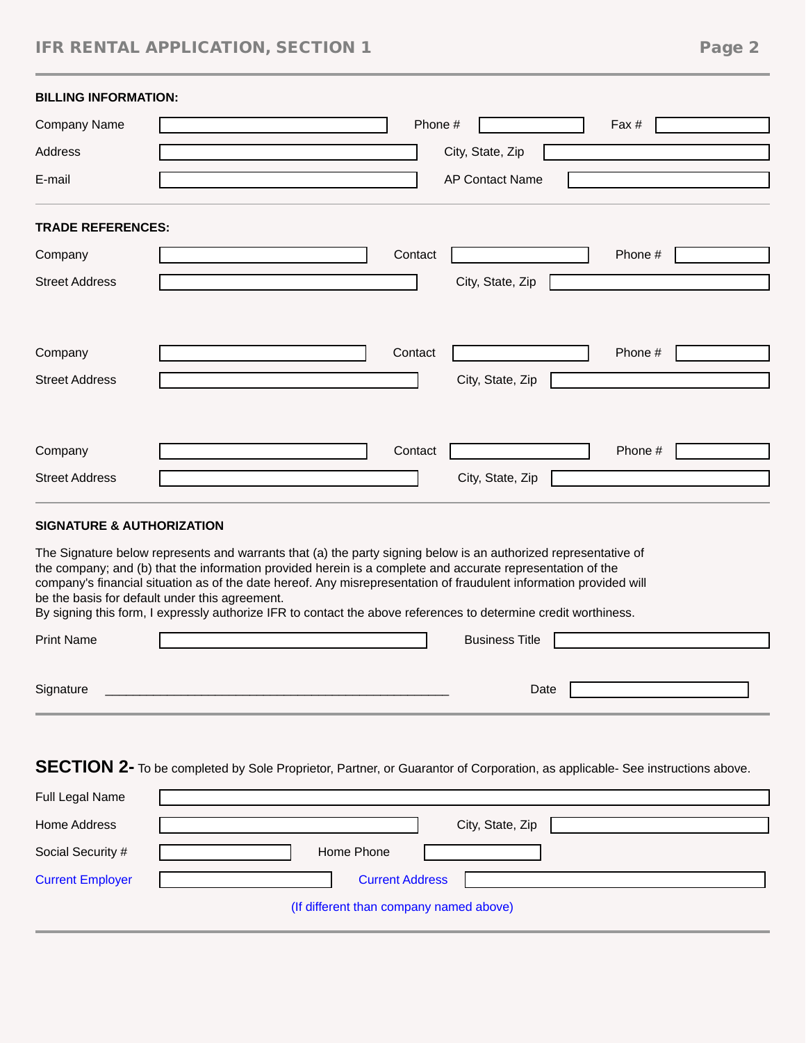## IFR RENTAL APPLICATION, SECTION 1 Page 2

| <b>BILLING INFORMATION:</b>                                                                                                                                                                                                                                                                                                                                                                                                                                                                                              |                                                                                                                             |  |  |  |
|--------------------------------------------------------------------------------------------------------------------------------------------------------------------------------------------------------------------------------------------------------------------------------------------------------------------------------------------------------------------------------------------------------------------------------------------------------------------------------------------------------------------------|-----------------------------------------------------------------------------------------------------------------------------|--|--|--|
| Company Name                                                                                                                                                                                                                                                                                                                                                                                                                                                                                                             | Phone #<br>Fax #                                                                                                            |  |  |  |
| Address                                                                                                                                                                                                                                                                                                                                                                                                                                                                                                                  | City, State, Zip                                                                                                            |  |  |  |
| E-mail                                                                                                                                                                                                                                                                                                                                                                                                                                                                                                                   | <b>AP Contact Name</b>                                                                                                      |  |  |  |
| <b>TRADE REFERENCES:</b>                                                                                                                                                                                                                                                                                                                                                                                                                                                                                                 |                                                                                                                             |  |  |  |
| Company                                                                                                                                                                                                                                                                                                                                                                                                                                                                                                                  | Contact<br>Phone #                                                                                                          |  |  |  |
| <b>Street Address</b>                                                                                                                                                                                                                                                                                                                                                                                                                                                                                                    | City, State, Zip                                                                                                            |  |  |  |
|                                                                                                                                                                                                                                                                                                                                                                                                                                                                                                                          |                                                                                                                             |  |  |  |
| Company                                                                                                                                                                                                                                                                                                                                                                                                                                                                                                                  | Contact<br>Phone #                                                                                                          |  |  |  |
| <b>Street Address</b>                                                                                                                                                                                                                                                                                                                                                                                                                                                                                                    | City, State, Zip                                                                                                            |  |  |  |
|                                                                                                                                                                                                                                                                                                                                                                                                                                                                                                                          |                                                                                                                             |  |  |  |
| Company                                                                                                                                                                                                                                                                                                                                                                                                                                                                                                                  | Contact<br>Phone #                                                                                                          |  |  |  |
| <b>Street Address</b>                                                                                                                                                                                                                                                                                                                                                                                                                                                                                                    | City, State, Zip                                                                                                            |  |  |  |
|                                                                                                                                                                                                                                                                                                                                                                                                                                                                                                                          |                                                                                                                             |  |  |  |
| <b>SIGNATURE &amp; AUTHORIZATION</b>                                                                                                                                                                                                                                                                                                                                                                                                                                                                                     |                                                                                                                             |  |  |  |
| The Signature below represents and warrants that (a) the party signing below is an authorized representative of<br>the company; and (b) that the information provided herein is a complete and accurate representation of the<br>company's financial situation as of the date hereof. Any misrepresentation of fraudulent information provided will<br>be the basis for default under this agreement.<br>By signing this form, I expressly authorize IFR to contact the above references to determine credit worthiness. |                                                                                                                             |  |  |  |
| Print Name                                                                                                                                                                                                                                                                                                                                                                                                                                                                                                               | <b>Business Title</b>                                                                                                       |  |  |  |
| Signature                                                                                                                                                                                                                                                                                                                                                                                                                                                                                                                | Date                                                                                                                        |  |  |  |
|                                                                                                                                                                                                                                                                                                                                                                                                                                                                                                                          | SECTION 2- To be completed by Sole Proprietor, Partner, or Guarantor of Corporation, as applicable- See instructions above. |  |  |  |

| Full Legal Name         |                                         |
|-------------------------|-----------------------------------------|
| Home Address            | City, State, Zip                        |
| Social Security #       | Home Phone                              |
| <b>Current Employer</b> | <b>Current Address</b>                  |
|                         | (If different than company named above) |